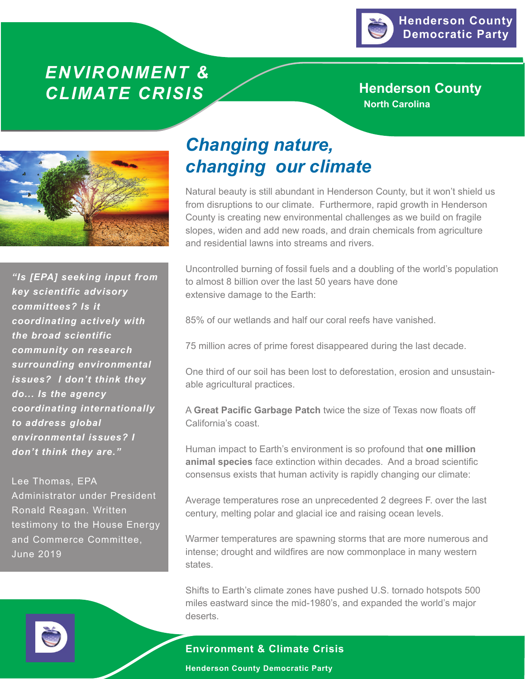

## *ENVIRONMENT &* **CLIMATE CRISIS** X Henderson County

**North Carolina**



*"Is [EPA] seeking input from key scientific advisory committees? Is it coordinating actively with the broad scientific community on research surrounding environmental issues? I don't think they do... Is the agency coordinating internationally to address global environmental issues? I don't think they are."*

Lee Thomas, EPA Administrator under President Ronald Reagan. Written testimony to the House Energy and Commerce Committee, June 2019

# *Changing nature, changing our climate*

Natural beauty is still abundant in Henderson County, but it won't shield us from disruptions to our climate. Furthermore, rapid growth in Henderson County is creating new environmental challenges as we build on fragile slopes, widen and add new roads, and drain chemicals from agriculture and residential lawns into streams and rivers.

Uncontrolled burning of fossil fuels and a doubling of the world's population to almost 8 billion over the last 50 years have done extensive damage to the Earth:

85% of our wetlands and half our coral reefs have vanished.

75 million acres of prime forest disappeared during the last decade.

One third of our soil has been lost to deforestation, erosion and unsustainable agricultural practices.

A **Great Pacific Garbage Patch** twice the size of Texas now floats off California's coast.

Human impact to Earth's environment is so profound that **one million animal species** face extinction within decades. And a broad scientific consensus exists that human activity is rapidly changing our climate:

Average temperatures rose an unprecedented 2 degrees F. over the last century, melting polar and glacial ice and raising ocean levels.

Warmer temperatures are spawning storms that are more numerous and intense; drought and wildfires are now commonplace in many western states.

Shifts to Earth's climate zones have pushed U.S. tornado hotspots 500 miles eastward since the mid-1980's, and expanded the world's major deserts.

### **Environment & Climate Crisis**

**Henderson County Democratic Party**